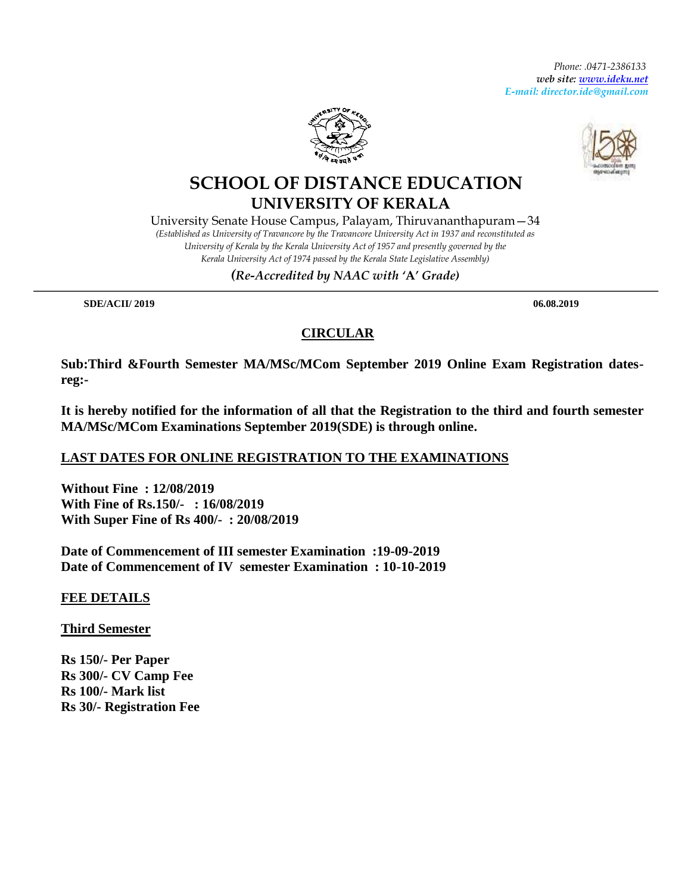*Phone: .0471-2386133 web site: [www.ideku.net](http://www.ideku.net/)* *E-mail: director.ide@gmail.com*





## **SCHOOL OF DISTANCE EDUCATION UNIVERSITY OF KERALA**

University Senate House Campus, Palayam, Thiruvananthapuram—34 *(Established as University of Travancore by the Travancore University Act in 1937 and reconstituted as University of Kerala by the Kerala University Act of 1957 and presently governed by the Kerala University Act of 1974 passed by the Kerala State Legislative Assembly)*

*(Re-Accredited by NAAC with '***A***' Grade)*

 **SDE/ACII/ 2019 06.08.2019**

## **CIRCULAR**

**Sub:Third &Fourth Semester MA/MSc/MCom September 2019 Online Exam Registration datesreg:-**

**It is hereby notified for the information of all that the Registration to the third and fourth semester MA/MSc/MCom Examinations September 2019(SDE) is through online.**

## **LAST DATES FOR ONLINE REGISTRATION TO THE EXAMINATIONS**

**Without Fine : 12/08/2019 With Fine of Rs.150/- : 16/08/2019 With Super Fine of Rs 400/- : 20/08/2019**

**Date of Commencement of III semester Examination :19-09-2019 Date of Commencement of IV semester Examination : 10-10-2019**

**FEE DETAILS**

**Third Semester**

**Rs 150/- Per Paper Rs 300/- CV Camp Fee Rs 100/- Mark list Rs 30/- Registration Fee**